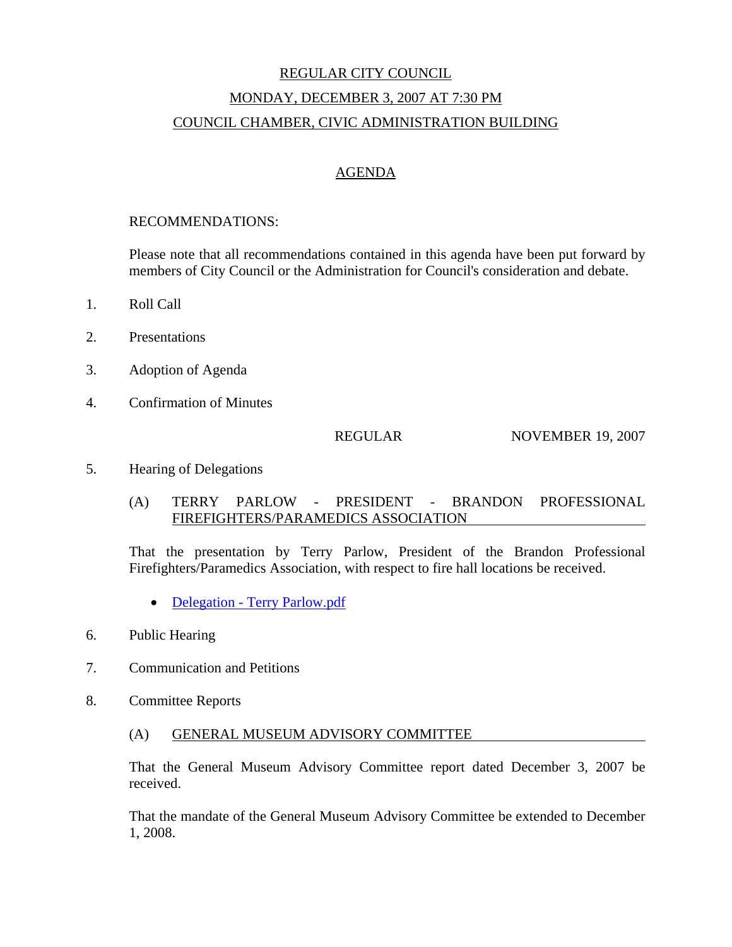# REGULAR CITY COUNCIL MONDAY, DECEMBER 3, 2007 AT 7:30 PM COUNCIL CHAMBER, CIVIC ADMINISTRATION BUILDING

# AGENDA

#### RECOMMENDATIONS:

Please note that all recommendations contained in this agenda have been put forward by members of City Council or the Administration for Council's consideration and debate.

- 1. Roll Call
- 2. Presentations
- 3. Adoption of Agenda
- 4. Confirmation of Minutes

REGULAR NOVEMBER 19, 2007

#### 5. Hearing of Delegations

### (A) TERRY PARLOW - PRESIDENT - BRANDON PROFESSIONAL FIREFIGHTERS/PARAMEDICS ASSOCIATION

That the presentation by Terry Parlow, President of the Brandon Professional Firefighters/Paramedics Association, with respect to fire hall locations be received.

- Delegation Terry Parlow.pdf
- 6. Public Hearing
- 7. Communication and Petitions
- 8. Committee Reports
	- (A) GENERAL MUSEUM ADVISORY COMMITTEE

That the General Museum Advisory Committee report dated December 3, 2007 be received.

That the mandate of the General Museum Advisory Committee be extended to December 1, 2008.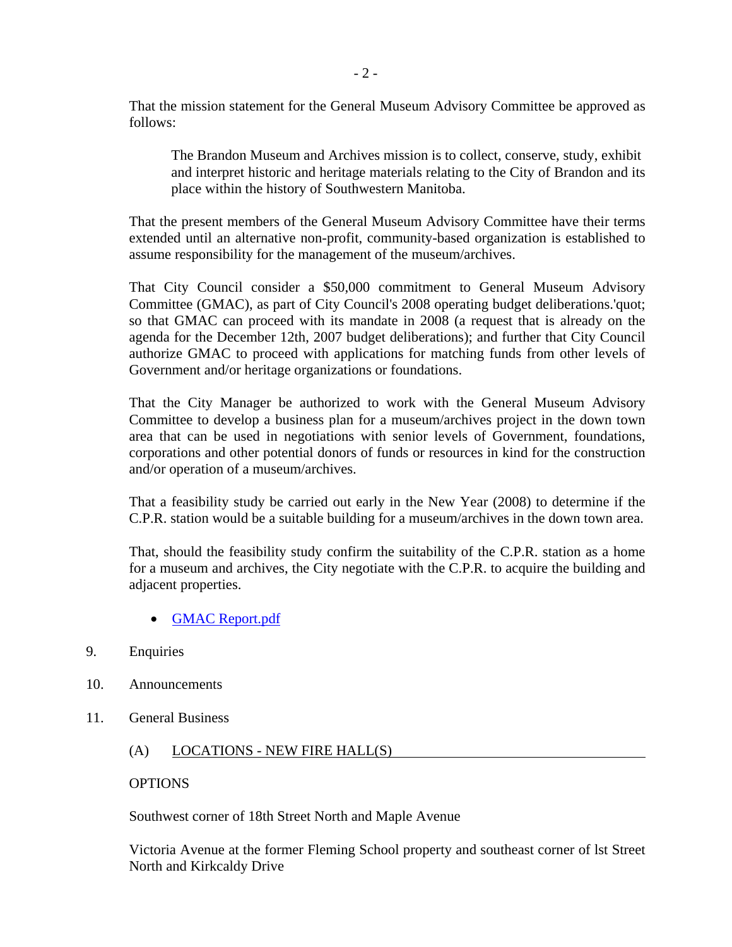That the mission statement for the General Museum Advisory Committee be approved as follows:

The Brandon Museum and Archives mission is to collect, conserve, study, exhibit and interpret historic and heritage materials relating to the City of Brandon and its place within the history of Southwestern Manitoba.

That the present members of the General Museum Advisory Committee have their terms extended until an alternative non-profit, community-based organization is established to assume responsibility for the management of the museum/archives.

That City Council consider a \$50,000 commitment to General Museum Advisory Committee (GMAC), as part of City Council's 2008 operating budget deliberations.'quot; so that GMAC can proceed with its mandate in 2008 (a request that is already on the agenda for the December 12th, 2007 budget deliberations); and further that City Council authorize GMAC to proceed with applications for matching funds from other levels of Government and/or heritage organizations or foundations.

That the City Manager be authorized to work with the General Museum Advisory Committee to develop a business plan for a museum/archives project in the down town area that can be used in negotiations with senior levels of Government, foundations, corporations and other potential donors of funds or resources in kind for the construction and/or operation of a museum/archives.

That a feasibility study be carried out early in the New Year (2008) to determine if the C.P.R. station would be a suitable building for a museum/archives in the down town area.

That, should the feasibility study confirm the suitability of the C.P.R. station as a home for a museum and archives, the City negotiate with the C.P.R. to acquire the building and adjacent properties.

- GMAC Report.pdf
- 9. Enquiries
- 10. Announcements
- 11. General Business
	- (A) LOCATIONS NEW FIRE HALL(S)

#### **OPTIONS**

Southwest corner of 18th Street North and Maple Avenue

Victoria Avenue at the former Fleming School property and southeast corner of lst Street North and Kirkcaldy Drive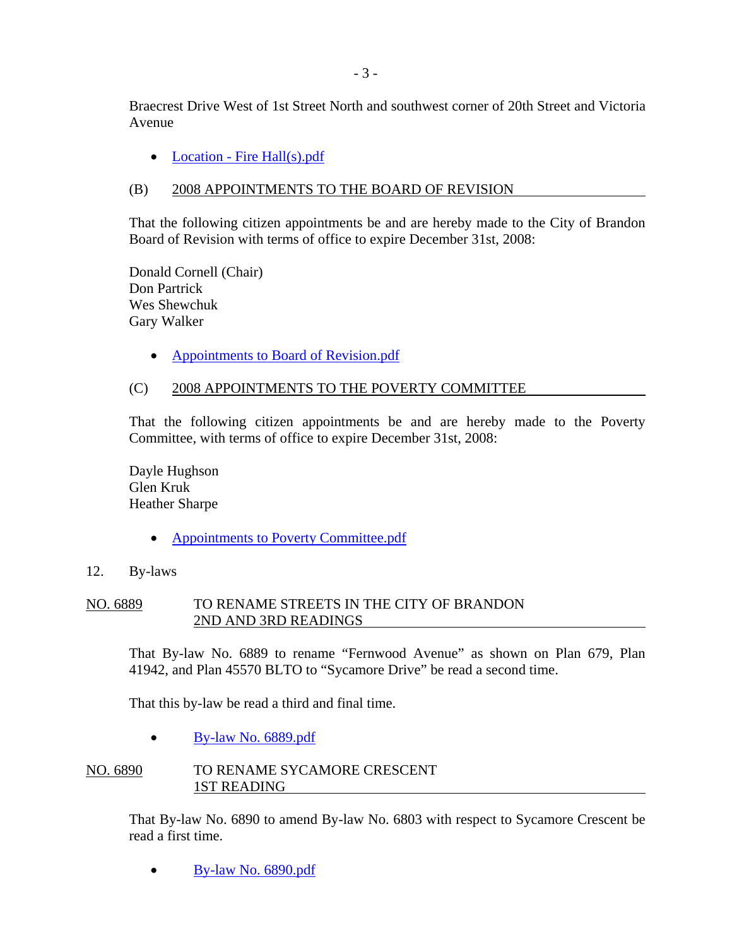Braecrest Drive West of 1st Street North and southwest corner of 20th Street and Victoria Avenue

• Location - Fire Hall(s).pdf

# (B) 2008 APPOINTMENTS TO THE BOARD OF REVISION

That the following citizen appointments be and are hereby made to the City of Brandon Board of Revision with terms of office to expire December 31st, 2008:

Donald Cornell (Chair) Don Partrick Wes Shewchuk Gary Walker

• Appointments to Board of Revision.pdf

# (C) 2008 APPOINTMENTS TO THE POVERTY COMMITTEE

That the following citizen appointments be and are hereby made to the Poverty Committee, with terms of office to expire December 31st, 2008:

Dayle Hughson Glen Kruk Heather Sharpe

- Appointments to Poverty Committee.pdf
- 12. By-laws

# NO. 6889 TO RENAME STREETS IN THE CITY OF BRANDON 2ND AND 3RD READINGS

That By-law No. 6889 to rename "Fernwood Avenue" as shown on Plan 679, Plan 41942, and Plan 45570 BLTO to "Sycamore Drive" be read a second time.

That this by-law be read a third and final time.

• By-law No. 6889.pdf

### NO. 6890 TO RENAME SYCAMORE CRESCENT 1ST READING

That By-law No. 6890 to amend By-law No. 6803 with respect to Sycamore Crescent be read a first time.

• By-law No. 6890.pdf